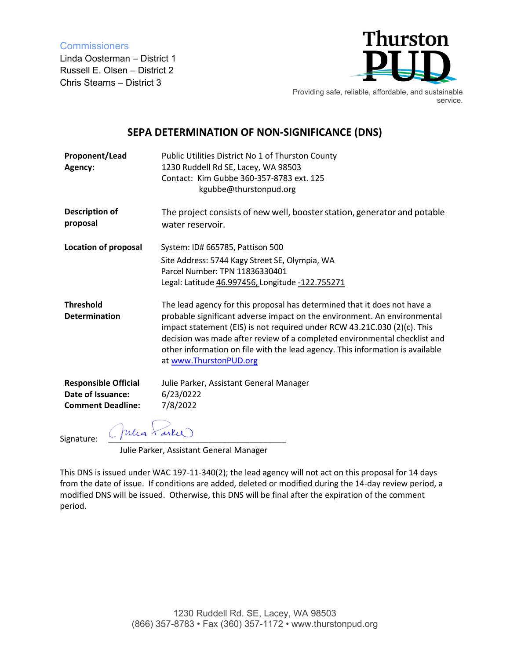**Commissioners** 

Linda Oosterman – District 1 Russell E. Olsen – District 2 Chris Stearns – District 3



Providing safe, reliable, affordable, and sustainable service.

## **SEPA DETERMINATION OF NON-SIGNIFICANCE (DNS)**

| Proponent/Lead<br>Agency:                | Public Utilities District No 1 of Thurston County<br>1230 Ruddell Rd SE, Lacey, WA 98503<br>Contact: Kim Gubbe 360-357-8783 ext. 125<br>kgubbe@thurstonpud.org                                                                                                                                                                                                                                                           |
|------------------------------------------|--------------------------------------------------------------------------------------------------------------------------------------------------------------------------------------------------------------------------------------------------------------------------------------------------------------------------------------------------------------------------------------------------------------------------|
| <b>Description of</b><br>proposal        | The project consists of new well, booster station, generator and potable<br>water reservoir.                                                                                                                                                                                                                                                                                                                             |
| <b>Location of proposal</b>              | System: ID# 665785, Pattison 500                                                                                                                                                                                                                                                                                                                                                                                         |
|                                          | Site Address: 5744 Kagy Street SE, Olympia, WA<br>Parcel Number: TPN 11836330401<br>Legal: Latitude 46.997456, Longitude -122.755271                                                                                                                                                                                                                                                                                     |
| <b>Threshold</b><br><b>Determination</b> | The lead agency for this proposal has determined that it does not have a<br>probable significant adverse impact on the environment. An environmental<br>impact statement (EIS) is not required under RCW 43.21C.030 (2)(c). This<br>decision was made after review of a completed environmental checklist and<br>other information on file with the lead agency. This information is available<br>at www.ThurstonPUD.org |
| <b>Responsible Official</b>              | Julie Parker, Assistant General Manager                                                                                                                                                                                                                                                                                                                                                                                  |
| Date of Issuance:                        | 6/23/0222                                                                                                                                                                                                                                                                                                                                                                                                                |
| <b>Comment Deadline:</b>                 | 7/8/2022                                                                                                                                                                                                                                                                                                                                                                                                                 |
| (Julia Farkie<br>Signature:              |                                                                                                                                                                                                                                                                                                                                                                                                                          |

Julie Parker, Assistant General Manager

This DNS is issued under WAC 197-11-340(2); the lead agency will not act on this proposal for 14 days from the date of issue. If conditions are added, deleted or modified during the 14-day review period, a modified DNS will be issued. Otherwise, this DNS will be final after the expiration of the comment period.